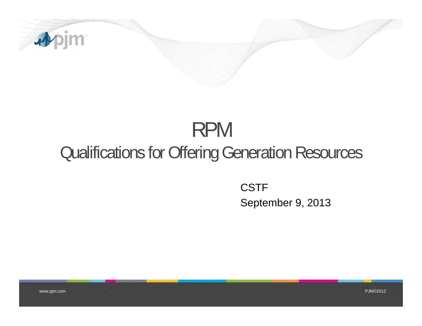

## RPM Qualifications for Offering Generation Resources

CSTF September 9, 2013

www.pjm.com PJM©2012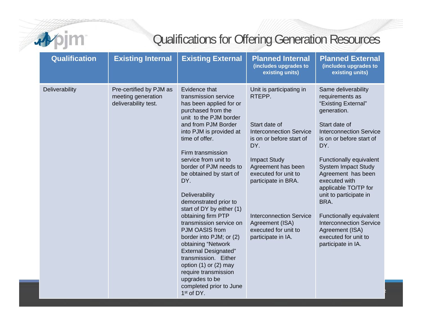

## Qualifications for Offering Generation Resources

| <b>Qualification</b> | <b>Existing Internal</b>                                              | <b>Existing External</b>                                                                                                                                                                                                                                                                                                                                                                                                                                                                                                                                                                                                                                                     | <b>Planned Internal</b><br>(includes upgrades to<br>existing units)                                                                                                                                                                                                                                                     | <b>Planned External</b><br>(includes upgrades to<br>existing units)                                                                                                                                                                                                                                                                                                                                                                                        |
|----------------------|-----------------------------------------------------------------------|------------------------------------------------------------------------------------------------------------------------------------------------------------------------------------------------------------------------------------------------------------------------------------------------------------------------------------------------------------------------------------------------------------------------------------------------------------------------------------------------------------------------------------------------------------------------------------------------------------------------------------------------------------------------------|-------------------------------------------------------------------------------------------------------------------------------------------------------------------------------------------------------------------------------------------------------------------------------------------------------------------------|------------------------------------------------------------------------------------------------------------------------------------------------------------------------------------------------------------------------------------------------------------------------------------------------------------------------------------------------------------------------------------------------------------------------------------------------------------|
| Deliverability       | Pre-certified by PJM as<br>meeting generation<br>deliverability test. | Evidence that<br>transmission service<br>has been applied for or<br>purchased from the<br>unit to the PJM border<br>and from PJM Border<br>into PJM is provided at<br>time of offer.<br>Firm transmission<br>service from unit to<br>border of PJM needs to<br>be obtained by start of<br>DY.<br>Deliverability<br>demonstrated prior to<br>start of DY by either (1)<br>obtaining firm PTP<br>transmission service on<br>PJM OASIS from<br>border into PJM; or (2)<br>obtaining "Network<br><b>External Designated"</b><br>transmission. Either<br>option $(1)$ or $(2)$ may<br>require transmission<br>upgrades to be<br>completed prior to June<br>1 <sup>st</sup> of DY. | Unit is participating in<br>RTEPP.<br>Start date of<br><b>Interconnection Service</b><br>is on or before start of<br>DY.<br><b>Impact Study</b><br>Agreement has been<br>executed for unit to<br>participate in BRA.<br><b>Interconnection Service</b><br>Agreement (ISA)<br>executed for unit to<br>participate in IA. | Same deliverability<br>requirements as<br>"Existing External"<br>generation.<br>Start date of<br><b>Interconnection Service</b><br>is on or before start of<br>DY.<br>Functionally equivalent<br><b>System Impact Study</b><br>Agreement has been<br>executed with<br>applicable TO/TP for<br>unit to participate in<br>BRA.<br>Functionally equivalent<br><b>Interconnection Service</b><br>Agreement (ISA)<br>executed for unit to<br>participate in IA. |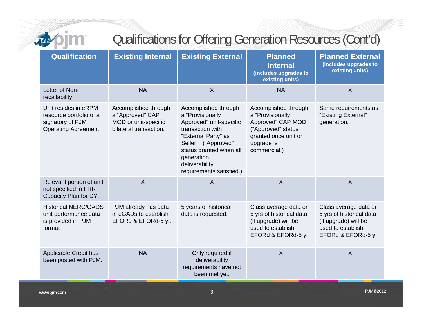| 3, |  |
|----|--|
| __ |  |
|    |  |

## Qualifications for Offering Generation Resources (Cont'd)

| Qualification                                                                                     | <b>Existing Internal</b>                                                                   | <b>Existing External</b>                                                                                                                                                                                                     | <b>Planned</b><br><b>Internal</b><br>(includes upgrades to<br>existing units)                                                              | <b>Planned External</b><br>(includes upgrades to<br>existing units)                                                   |
|---------------------------------------------------------------------------------------------------|--------------------------------------------------------------------------------------------|------------------------------------------------------------------------------------------------------------------------------------------------------------------------------------------------------------------------------|--------------------------------------------------------------------------------------------------------------------------------------------|-----------------------------------------------------------------------------------------------------------------------|
| Letter of Non-<br>recallability                                                                   | <b>NA</b>                                                                                  | $\sf X$                                                                                                                                                                                                                      | <b>NA</b>                                                                                                                                  | $\sf X$                                                                                                               |
| Unit resides in eRPM<br>resource portfolio of a<br>signatory of PJM<br><b>Operating Agreement</b> | Accomplished through<br>a "Approved" CAP<br>MOD or unit-specific<br>bilateral transaction. | Accomplished through<br>a "Provisionally<br>Approved" unit-specific<br>transaction with<br>"External Party" as<br>Seller. ("Approved"<br>status granted when all<br>generation<br>deliverability<br>requirements satisfied.) | Accomplished through<br>a "Provisionally<br>Approved" CAP MOD.<br>("Approved" status<br>granted once unit or<br>upgrade is<br>commercial.) | Same requirements as<br>"Existing External"<br>generation.                                                            |
| Relevant portion of unit<br>not specified in FRR<br>Capacity Plan for DY.                         | $\overline{X}$                                                                             | $\overline{X}$                                                                                                                                                                                                               | $\mathsf{X}$                                                                                                                               | $\mathsf{X}$                                                                                                          |
| <b>Historical NERC/GADS</b><br>unit performance data<br>is provided in PJM<br>format              | PJM already has data<br>in eGADs to establish<br>EFORd & EFORd-5 yr.                       | 5 years of historical<br>data is requested.                                                                                                                                                                                  | Class average data or<br>5 yrs of historical data<br>(if upgrade) will be<br>used to establish<br>EFORd & EFORd-5 yr.                      | Class average data or<br>5 yrs of historical data<br>(if upgrade) will be<br>used to establish<br>EFORd & EFORd-5 yr. |
| Applicable Credit has<br>been posted with PJM.                                                    | <b>NA</b>                                                                                  | Only required if<br>deliverability<br>requirements have not<br>been met yet.                                                                                                                                                 | $\sf X$                                                                                                                                    | $\mathsf{X}$                                                                                                          |
| www.pjm.com                                                                                       |                                                                                            | 3                                                                                                                                                                                                                            |                                                                                                                                            | <b>PJM©2012</b>                                                                                                       |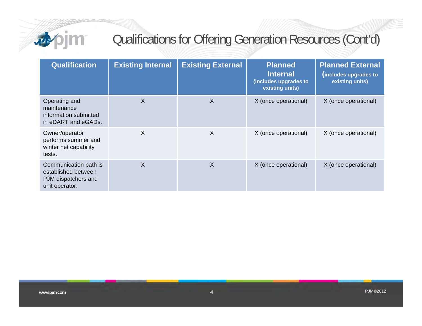

## Qualifications for Offering Generation Resources (Cont'd)

| <b>Qualification</b>                                                                  | <b>Existing Internal</b> | <b>Existing External</b> | <b>Planned</b><br><b>Internal</b><br>(includes upgrades to<br>existing units) | <b>Planned External</b><br>(includes upgrades to<br>existing units) |
|---------------------------------------------------------------------------------------|--------------------------|--------------------------|-------------------------------------------------------------------------------|---------------------------------------------------------------------|
| Operating and<br>maintenance<br>information submitted<br>in eDART and eGADs.          | X                        | X                        | X (once operational)                                                          | X (once operational)                                                |
| Owner/operator<br>performs summer and<br>winter net capability<br>tests.              | $\times$                 | $\sf X$                  | X (once operational)                                                          | X (once operational)                                                |
| Communication path is<br>established between<br>PJM dispatchers and<br>unit operator. | X                        | X                        | X (once operational)                                                          | X (once operational)                                                |